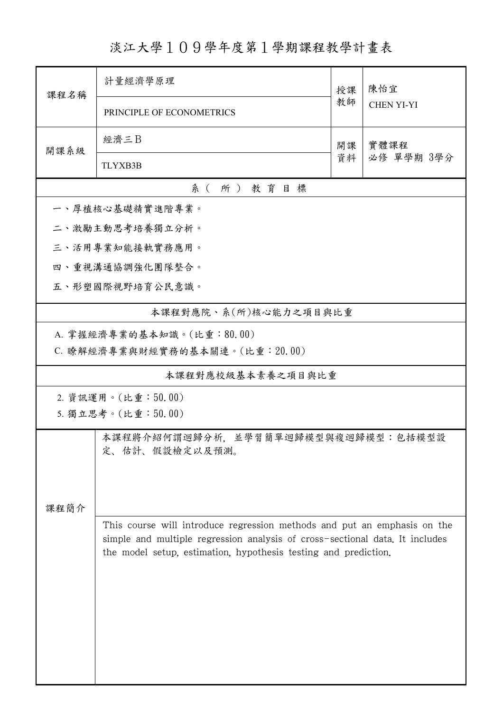淡江大學109學年度第1學期課程教學計畫表

| 課程名稱                               | 計量經濟學原理                                                                      |          | 陳怡宜                |  |  |  |
|------------------------------------|------------------------------------------------------------------------------|----------|--------------------|--|--|--|
|                                    | PRINCIPLE OF ECONOMETRICS                                                    | 教師       | <b>CHEN YI-YI</b>  |  |  |  |
| 開課系級                               | 經濟三B                                                                         | 開課<br>資料 | 實體課程<br>必修 單學期 3學分 |  |  |  |
|                                    | <b>TLYXB3B</b>                                                               |          |                    |  |  |  |
| 系(所)教育目標                           |                                                                              |          |                    |  |  |  |
| 一、厚植核心基礎精實進階專業。                    |                                                                              |          |                    |  |  |  |
| 二、激勵主動思考培養獨立分析。                    |                                                                              |          |                    |  |  |  |
| 三、活用專業知能接軌實務應用。                    |                                                                              |          |                    |  |  |  |
| 四、重視溝通協調強化團隊整合。                    |                                                                              |          |                    |  |  |  |
| 五、形塑國際視野培育公民意識。                    |                                                                              |          |                    |  |  |  |
| 本課程對應院、系(所)核心能力之項目與比重              |                                                                              |          |                    |  |  |  |
|                                    | A. 掌握經濟專業的基本知識。(比重:80.00)                                                    |          |                    |  |  |  |
|                                    | C. 瞭解經濟專業與財經實務的基本關連。(比重: 20.00)                                              |          |                    |  |  |  |
| 本課程對應校級基本素養之項目與比重                  |                                                                              |          |                    |  |  |  |
| 2. 資訊運用。(比重:50.00)                 |                                                                              |          |                    |  |  |  |
|                                    | 5. 獨立思考。(比重:50.00)                                                           |          |                    |  |  |  |
| 本課程將介紹何謂迴歸分析,並學習簡單迴歸模型與複迴歸模型:包括模型設 |                                                                              |          |                    |  |  |  |
|                                    | 定、估計、假設檢定以及預測。                                                               |          |                    |  |  |  |
|                                    |                                                                              |          |                    |  |  |  |
| 課程簡介                               |                                                                              |          |                    |  |  |  |
|                                    | This course will introduce regression methods and put an emphasis on the     |          |                    |  |  |  |
|                                    | simple and multiple regression analysis of cross-sectional data. It includes |          |                    |  |  |  |
|                                    | the model setup, estimation, hypothesis testing and prediction.              |          |                    |  |  |  |
|                                    |                                                                              |          |                    |  |  |  |
|                                    |                                                                              |          |                    |  |  |  |
|                                    |                                                                              |          |                    |  |  |  |
|                                    |                                                                              |          |                    |  |  |  |
|                                    |                                                                              |          |                    |  |  |  |
|                                    |                                                                              |          |                    |  |  |  |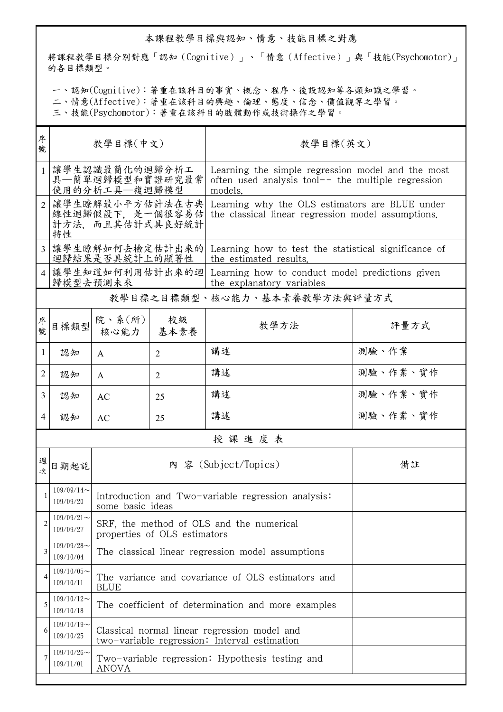## 本課程教學目標與認知、情意、技能目標之對應

將課程教學目標分別對應「認知(Cognitive)」、「情意(Affective)」與「技能(Psychomotor)」 的各目標類型。

一、認知(Cognitive):著重在該科目的事實、概念、程序、後設認知等各類知識之學習。

二、情意(Affective):著重在該科目的興趣、倫理、態度、信念、價值觀等之學習。

三、技能(Psychomotor):著重在該科目的肢體動作或技術操作之學習。

| 序<br>號         | 教學目標(中文)                                                     |                                                                                              |                | 教學目標(英文)                                                                                                             |          |  |  |  |
|----------------|--------------------------------------------------------------|----------------------------------------------------------------------------------------------|----------------|----------------------------------------------------------------------------------------------------------------------|----------|--|--|--|
| $\mathbf{1}$   |                                                              | 讓學生認識最簡化的迴歸分析工<br>具—簡單迴歸模型和實證研究最常<br>使用的分析工具—複迴歸模型                                           |                | Learning the simple regression model and the most<br>often used analysis tool $-$ the multiple regression<br>models. |          |  |  |  |
| $\overline{2}$ | 讓學生瞭解最小平方估計法在古典<br>線性迴歸假設下, 是一個很容易估<br>計方法,而且其估計式具良好統計<br>特性 |                                                                                              |                | Learning why the OLS estimators are BLUE under<br>the classical linear regression model assumptions.                 |          |  |  |  |
|                | 讓學生瞭解如何去檢定估計出來的<br>迴歸結果是否具統計上的顯著性                            |                                                                                              |                | Learning how to test the statistical significance of<br>the estimated results.                                       |          |  |  |  |
| $\overline{4}$ | 讓學生知道如何利用估計出來的迴<br>歸模型去預測未來                                  |                                                                                              |                | Learning how to conduct model predictions given<br>the explanatory variables                                         |          |  |  |  |
|                | 教學目標之目標類型、核心能力、基本素養教學方法與評量方式                                 |                                                                                              |                |                                                                                                                      |          |  |  |  |
| 序號             | 目標類型                                                         | 院、系(所)<br>核心能力                                                                               | 校級<br>基本素養     | 教學方法                                                                                                                 | 評量方式     |  |  |  |
| 1              | 認知                                                           | A                                                                                            | $\overline{2}$ | 講述                                                                                                                   | 測驗、作業    |  |  |  |
| 2              | 認知                                                           | $\mathsf{A}$                                                                                 | $\overline{2}$ | 講述                                                                                                                   | 測驗、作業、實作 |  |  |  |
| 3              | 認知                                                           | AC                                                                                           | 25             | 講述                                                                                                                   | 測驗、作業、實作 |  |  |  |
| 4              | 認知                                                           | <b>AC</b>                                                                                    | 25             | 講述                                                                                                                   | 測驗、作業、實作 |  |  |  |
|                | 授課進度表                                                        |                                                                                              |                |                                                                                                                      |          |  |  |  |
| 週<br>次         | 日期起訖                                                         | 內 容 (Subject/Topics)                                                                         |                |                                                                                                                      | 備註       |  |  |  |
|                | $109/09/14$ ~<br>109/09/20                                   | Introduction and Two-variable regression analysis:<br>some basic ideas                       |                |                                                                                                                      |          |  |  |  |
| 2              | $109/09/21$ ~<br>109/09/27                                   | SRF, the method of OLS and the numerical<br>properties of OLS estimators                     |                |                                                                                                                      |          |  |  |  |
| 3              | $109/09/28$ ~<br>109/10/04                                   | The classical linear regression model assumptions                                            |                |                                                                                                                      |          |  |  |  |
| 4              | $109/10/05$ ~<br>109/10/11                                   | The variance and covariance of OLS estimators and<br><b>BLUE</b>                             |                |                                                                                                                      |          |  |  |  |
| 5              | $109/10/12$ ~<br>109/10/18                                   | The coefficient of determination and more examples                                           |                |                                                                                                                      |          |  |  |  |
| 6              | $109/10/19$ ~<br>109/10/25                                   | Classical normal linear regression model and<br>two-variable regression: Interval estimation |                |                                                                                                                      |          |  |  |  |
|                | $109/10/26$ ~<br>109/11/01                                   | Two-variable regression: Hypothesis testing and<br>ANOVA                                     |                |                                                                                                                      |          |  |  |  |